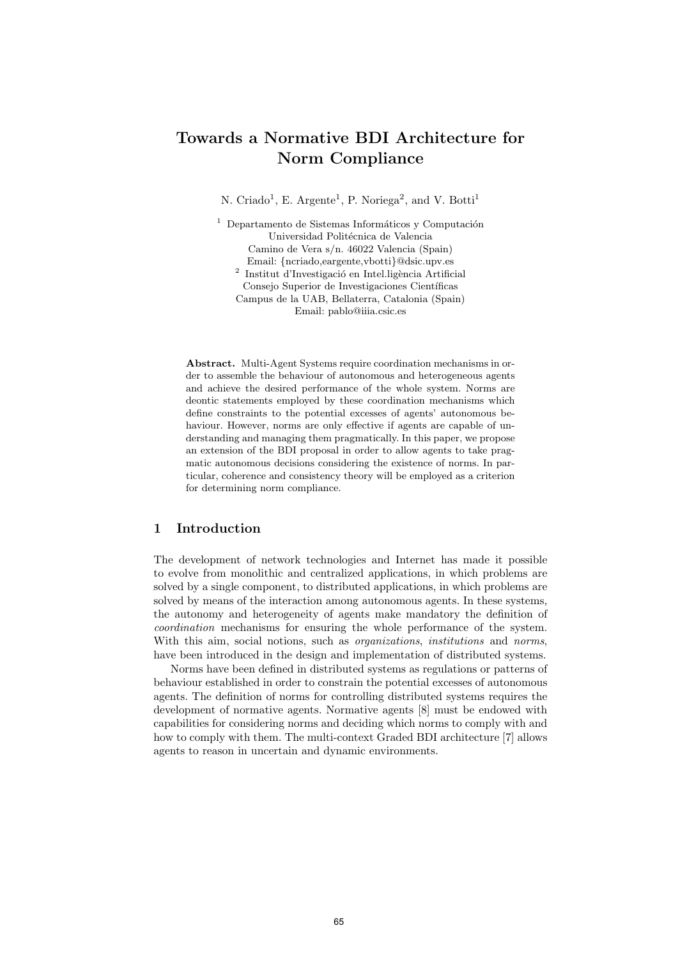# Towards a Normative BDI Architecture for Norm Compliance

N. Criado<sup>1</sup>, E. Argente<sup>1</sup>, P. Noriega<sup>2</sup>, and V. Botti<sup>1</sup>

 $1$  Departamento de Sistemas Informáticos y Computación Universidad Politécnica de Valencia Camino de Vera s/n. 46022 Valencia (Spain)  $\begin{array}{c} \rm{Email:} \ \{ncriado, eargente, vbotti\}@disc.upv. es \\ \rm{Institut\ d'Investigació en Intel. ligència Artificial} \end{array}$ 

Consejo Superior de Investigaciones Científicas Campus de la UAB, Bellaterra, Catalonia (Spain)

Email: pablo@iiia.csic.es

Abstract. Multi-Agent Systems require coordination mechanisms in order to assemble the behaviour of autonomous and heterogeneous agents and achieve the desired performance of the whole system. Norms are deontic statements employed by these coordination mechanisms which define constraints to the potential excesses of agents' autonomous behaviour. However, norms are only effective if agents are capable of understanding and managing them pragmatically. In this paper, we propose an extension of the BDI proposal in order to allow agents to take pragmatic autonomous decisions considering the existence of norms. In particular, coherence and consistency theory will be employed as a criterion for determining norm compliance.

# 1 Introduction

The development of network technologies and Internet has made it possible to evolve from monolithic and centralized applications, in which problems are solved by a single component, to distributed applications, in which problems are solved by means of the interaction among autonomous agents. In these systems, the autonomy and heterogeneity of agents make mandatory the definition of coordination mechanisms for ensuring the whole performance of the system. With this aim, social notions, such as *organizations*, *institutions* and *norms*, have been introduced in the design and implementation of distributed systems.

Norms have been defined in distributed systems as regulations or patterns of behaviour established in order to constrain the potential excesses of autonomous agents. The definition of norms for controlling distributed systems requires the development of normative agents. Normative agents [8] must be endowed with capabilities for considering norms and deciding which norms to comply with and how to comply with them. The multi-context Graded BDI architecture [7] allows agents to reason in uncertain and dynamic environments.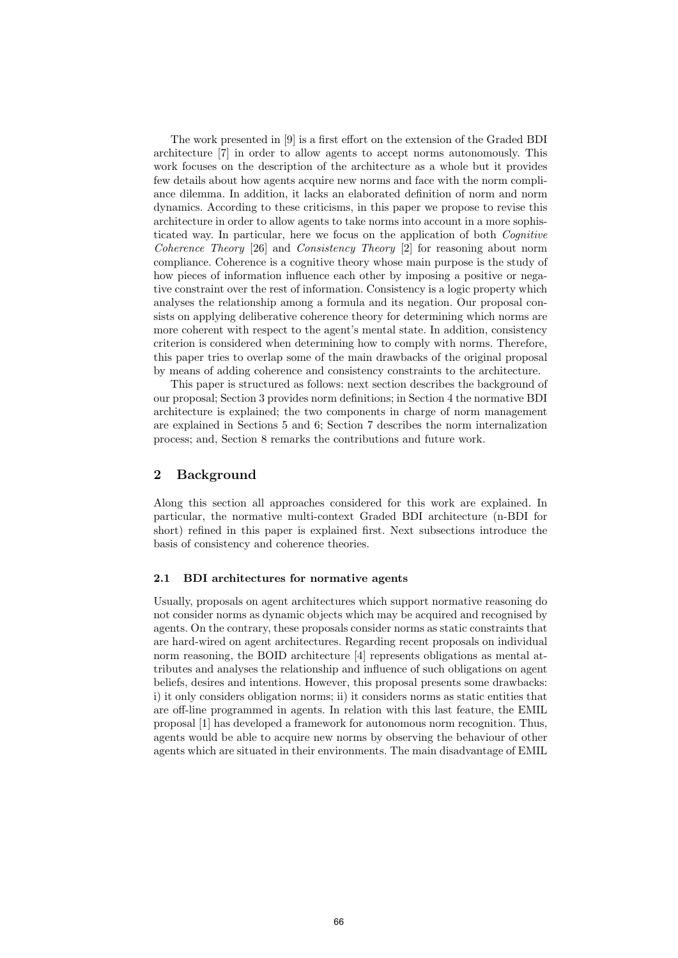The work presented in [9] is a first effort on the extension of the Graded BDI architecture [7] in order to allow agents to accept norms autonomously. This work focuses on the description of the architecture as a whole but it provides few details about how agents acquire new norms and face with the norm compliance dilemma. In addition, it lacks an elaborated definition of norm and norm dynamics. According to these criticisms, in this paper we propose to revise this architecture in order to allow agents to take norms into account in a more sophisticated way. In particular, here we focus on the application of both Cognitive Coherence Theory [26] and Consistency Theory [2] for reasoning about norm compliance. Coherence is a cognitive theory whose main purpose is the study of how pieces of information influence each other by imposing a positive or negative constraint over the rest of information. Consistency is a logic property which analyses the relationship among a formula and its negation. Our proposal consists on applying deliberative coherence theory for determining which norms are more coherent with respect to the agent's mental state. In addition, consistency criterion is considered when determining how to comply with norms. Therefore, this paper tries to overlap some of the main drawbacks of the original proposal by means of adding coherence and consistency constraints to the architecture.

This paper is structured as follows: next section describes the background of our proposal; Section 3 provides norm definitions; in Section 4 the normative BDI architecture is explained; the two components in charge of norm management are explained in Sections 5 and 6; Section 7 describes the norm internalization process; and, Section 8 remarks the contributions and future work.

### 2 Background

Along this section all approaches considered for this work are explained. In particular, the normative multi-context Graded BDI architecture (n-BDI for short) refined in this paper is explained first. Next subsections introduce the basis of consistency and coherence theories.

## 2.1 BDI architectures for normative agents

Usually, proposals on agent architectures which support normative reasoning do not consider norms as dynamic objects which may be acquired and recognised by agents. On the contrary, these proposals consider norms as static constraints that are hard-wired on agent architectures. Regarding recent proposals on individual norm reasoning, the BOID architecture [4] represents obligations as mental attributes and analyses the relationship and influence of such obligations on agent beliefs, desires and intentions. However, this proposal presents some drawbacks: i) it only considers obligation norms; ii) it considers norms as static entities that are off-line programmed in agents. In relation with this last feature, the EMIL proposal [1] has developed a framework for autonomous norm recognition. Thus, agents would be able to acquire new norms by observing the behaviour of other agents which are situated in their environments. The main disadvantage of EMIL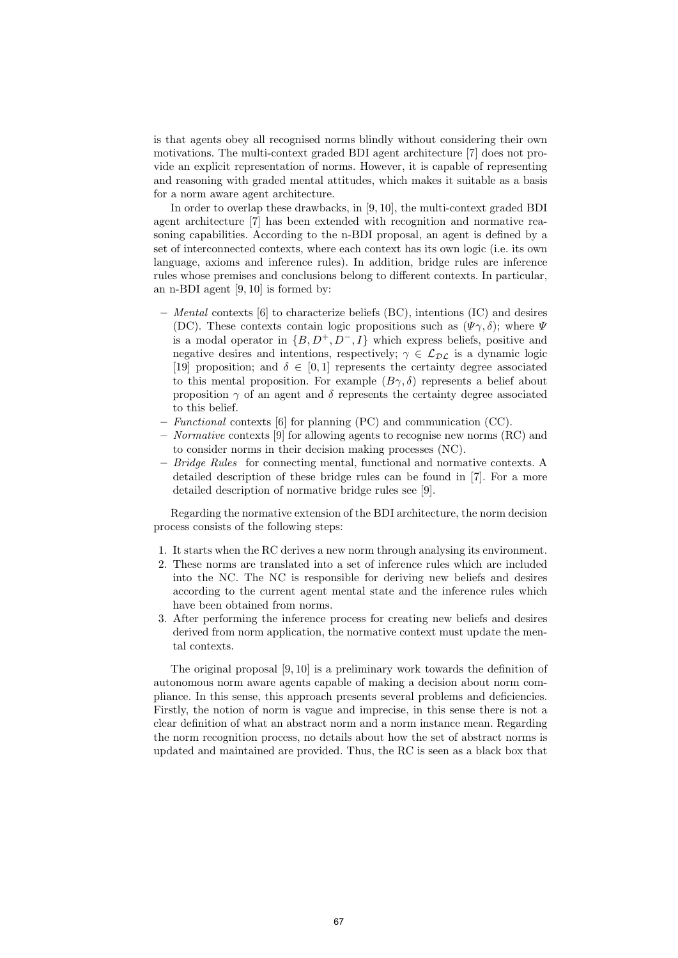is that agents obey all recognised norms blindly without considering their own motivations. The multi-context graded BDI agent architecture [7] does not provide an explicit representation of norms. However, it is capable of representing and reasoning with graded mental attitudes, which makes it suitable as a basis for a norm aware agent architecture.

In order to overlap these drawbacks, in [9, 10], the multi-context graded BDI agent architecture [7] has been extended with recognition and normative reasoning capabilities. According to the n-BDI proposal, an agent is defined by a set of interconnected contexts, where each context has its own logic (i.e. its own language, axioms and inference rules). In addition, bridge rules are inference rules whose premises and conclusions belong to different contexts. In particular, an n-BDI agent [9, 10] is formed by:

- Mental contexts [6] to characterize beliefs (BC), intentions (IC) and desires (DC). These contexts contain logic propositions such as  $(\Psi \gamma, \delta)$ ; where  $\Psi$ is a modal operator in  $\{B, D^+, D^-, I\}$  which express beliefs, positive and negative desires and intentions, respectively;  $\gamma \in \mathcal{L}_{\mathcal{DL}}$  is a dynamic logic [19] proposition; and  $\delta \in [0,1]$  represents the certainty degree associated to this mental proposition. For example  $(B\gamma, \delta)$  represents a belief about proposition  $\gamma$  of an agent and  $\delta$  represents the certainty degree associated to this belief.
- Functional contexts [6] for planning (PC) and communication (CC).
- Normative contexts [9] for allowing agents to recognise new norms (RC) and to consider norms in their decision making processes (NC).
- $-$  Bridge Rules for connecting mental, functional and normative contexts. A detailed description of these bridge rules can be found in [7]. For a more detailed description of normative bridge rules see [9].

Regarding the normative extension of the BDI architecture, the norm decision process consists of the following steps:

- 1. It starts when the RC derives a new norm through analysing its environment.
- 2. These norms are translated into a set of inference rules which are included into the NC. The NC is responsible for deriving new beliefs and desires according to the current agent mental state and the inference rules which have been obtained from norms.
- 3. After performing the inference process for creating new beliefs and desires derived from norm application, the normative context must update the mental contexts.

The original proposal [9, 10] is a preliminary work towards the definition of autonomous norm aware agents capable of making a decision about norm compliance. In this sense, this approach presents several problems and deficiencies. Firstly, the notion of norm is vague and imprecise, in this sense there is not a clear definition of what an abstract norm and a norm instance mean. Regarding the norm recognition process, no details about how the set of abstract norms is updated and maintained are provided. Thus, the RC is seen as a black box that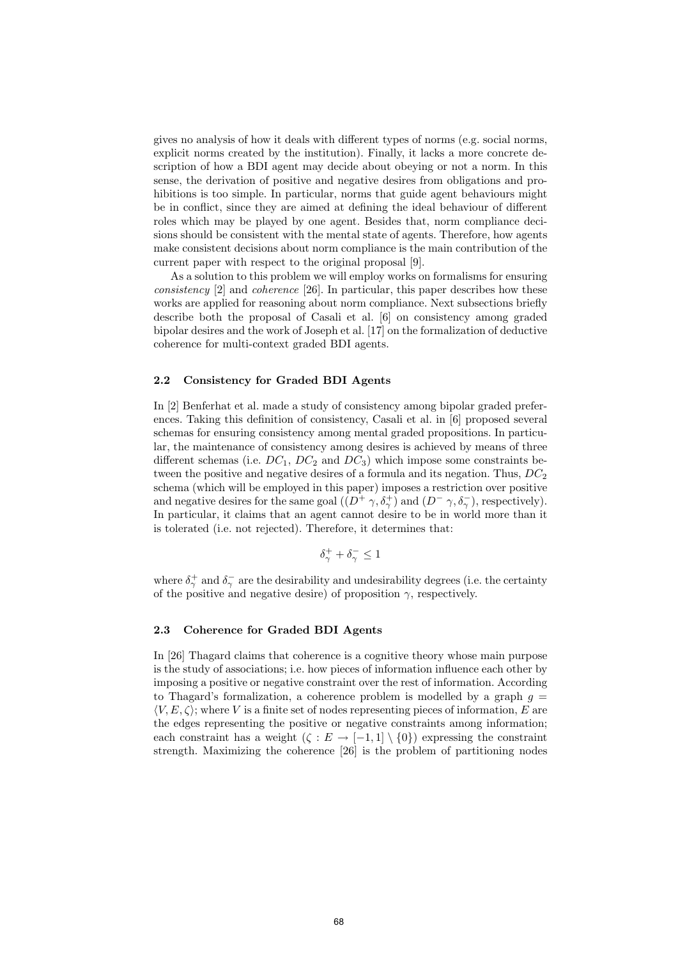gives no analysis of how it deals with different types of norms (e.g. social norms, explicit norms created by the institution). Finally, it lacks a more concrete description of how a BDI agent may decide about obeying or not a norm. In this sense, the derivation of positive and negative desires from obligations and prohibitions is too simple. In particular, norms that guide agent behaviours might be in conflict, since they are aimed at defining the ideal behaviour of different roles which may be played by one agent. Besides that, norm compliance decisions should be consistent with the mental state of agents. Therefore, how agents make consistent decisions about norm compliance is the main contribution of the current paper with respect to the original proposal [9].

As a solution to this problem we will employ works on formalisms for ensuring consistency [2] and coherence [26]. In particular, this paper describes how these works are applied for reasoning about norm compliance. Next subsections briefly describe both the proposal of Casali et al. [6] on consistency among graded bipolar desires and the work of Joseph et al. [17] on the formalization of deductive coherence for multi-context graded BDI agents.

#### 2.2 Consistency for Graded BDI Agents

In [2] Benferhat et al. made a study of consistency among bipolar graded preferences. Taking this definition of consistency, Casali et al. in [6] proposed several schemas for ensuring consistency among mental graded propositions. In particular, the maintenance of consistency among desires is achieved by means of three different schemas (i.e.  $DC_1$ ,  $DC_2$  and  $DC_3$ ) which impose some constraints between the positive and negative desires of a formula and its negation. Thus,  $DC_2$ schema (which will be employed in this paper) imposes a restriction over positive and negative desires for the same goal  $((D^+ \gamma, \delta^+_{\gamma})$  and  $(D^- \gamma, \delta^-_{\gamma})$ , respectively). In particular, it claims that an agent cannot desire to be in world more than it is tolerated (i.e. not rejected). Therefore, it determines that:

$$
\delta^+_\gamma+\delta^-_\gamma\leq 1
$$

where  $\delta^+_\gamma$  and  $\delta^-_\gamma$  are the desirability and undesirability degrees (i.e. the certainty of the positive and negative desire) of proposition  $\gamma$ , respectively.

#### 2.3 Coherence for Graded BDI Agents

In [26] Thagard claims that coherence is a cognitive theory whose main purpose is the study of associations; i.e. how pieces of information influence each other by imposing a positive or negative constraint over the rest of information. According to Thagard's formalization, a coherence problem is modelled by a graph  $g =$  $\langle V, E, \zeta \rangle$ ; where V is a finite set of nodes representing pieces of information, E are the edges representing the positive or negative constraints among information; each constraint has a weight  $(\zeta : E \to [-1,1] \setminus \{0\})$  expressing the constraint strength. Maximizing the coherence [26] is the problem of partitioning nodes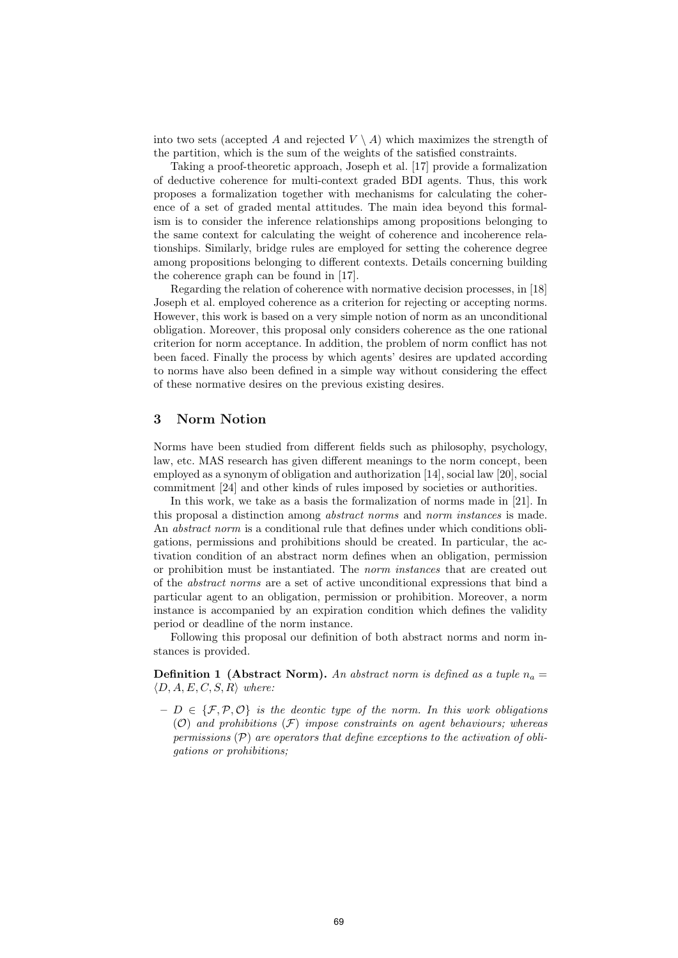into two sets (accepted A and rejected  $V \setminus A$ ) which maximizes the strength of the partition, which is the sum of the weights of the satisfied constraints.

Taking a proof-theoretic approach, Joseph et al. [17] provide a formalization of deductive coherence for multi-context graded BDI agents. Thus, this work proposes a formalization together with mechanisms for calculating the coherence of a set of graded mental attitudes. The main idea beyond this formalism is to consider the inference relationships among propositions belonging to the same context for calculating the weight of coherence and incoherence relationships. Similarly, bridge rules are employed for setting the coherence degree among propositions belonging to different contexts. Details concerning building the coherence graph can be found in [17].

Regarding the relation of coherence with normative decision processes, in [18] Joseph et al. employed coherence as a criterion for rejecting or accepting norms. However, this work is based on a very simple notion of norm as an unconditional obligation. Moreover, this proposal only considers coherence as the one rational criterion for norm acceptance. In addition, the problem of norm conflict has not been faced. Finally the process by which agents' desires are updated according to norms have also been defined in a simple way without considering the effect of these normative desires on the previous existing desires.

# 3 Norm Notion

Norms have been studied from different fields such as philosophy, psychology, law, etc. MAS research has given different meanings to the norm concept, been employed as a synonym of obligation and authorization [14], social law [20], social commitment [24] and other kinds of rules imposed by societies or authorities.

In this work, we take as a basis the formalization of norms made in [21]. In this proposal a distinction among abstract norms and norm instances is made. An abstract norm is a conditional rule that defines under which conditions obligations, permissions and prohibitions should be created. In particular, the activation condition of an abstract norm defines when an obligation, permission or prohibition must be instantiated. The norm instances that are created out of the abstract norms are a set of active unconditional expressions that bind a particular agent to an obligation, permission or prohibition. Moreover, a norm instance is accompanied by an expiration condition which defines the validity period or deadline of the norm instance.

Following this proposal our definition of both abstract norms and norm instances is provided.

**Definition 1** (Abstract Norm). An abstract norm is defined as a tuple  $n_a =$  $\langle D, A, E, C, S, R \rangle$  where:

 $-I \in \{F, P, O\}$  is the deontic type of the norm. In this work obligations  $(\mathcal{O})$  and prohibitions  $(\mathcal{F})$  impose constraints on agent behaviours; whereas permissions  $(\mathcal{P})$  are operators that define exceptions to the activation of obligations or prohibitions;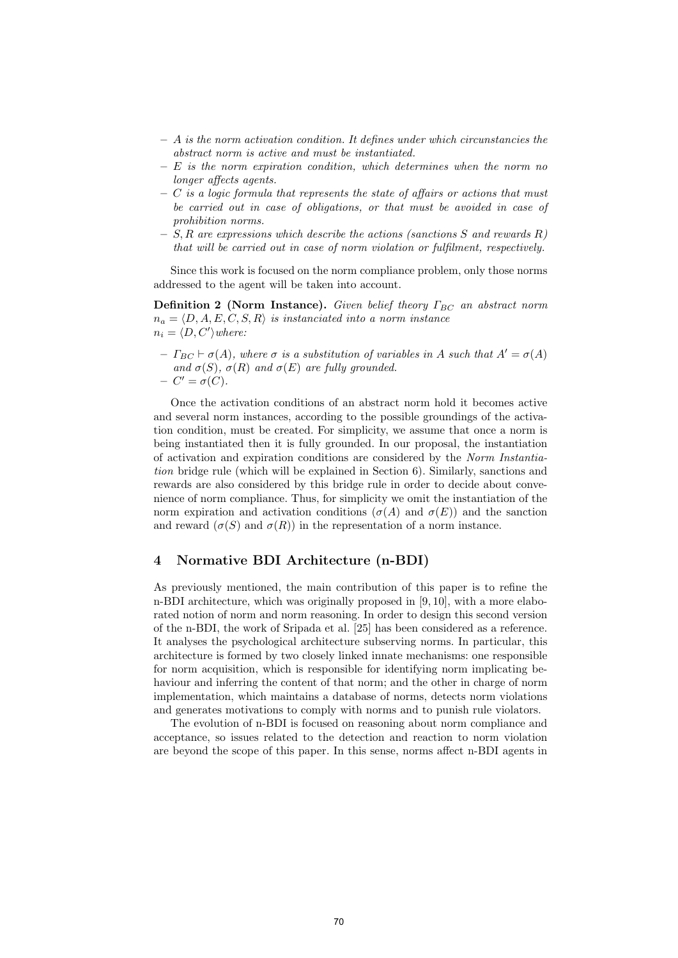- $-$  A is the norm activation condition. It defines under which circunstancies the abstract norm is active and must be instantiated.
- $E$  is the norm expiration condition, which determines when the norm no longer affects agents.
- $-$  C is a logic formula that represents the state of affairs or actions that must be carried out in case of obligations, or that must be avoided in case of prohibition norms.
- $S$ , R are expressions which describe the actions (sanctions S and rewards R) that will be carried out in case of norm violation or fulfilment, respectively.

Since this work is focused on the norm compliance problem, only those norms addressed to the agent will be taken into account.

**Definition 2 (Norm Instance).** Given belief theory  $\Gamma_{BC}$  an abstract norm  $n_a = \langle D, A, E, C, S, R \rangle$  is instanciated into a norm instance  $n_i = \langle D, C' \rangle$  where:

 $-I_{BC} \vdash \sigma(A)$ , where  $\sigma$  is a substitution of variables in A such that  $A' = \sigma(A)$ and  $\sigma(S)$ ,  $\sigma(R)$  and  $\sigma(E)$  are fully grounded.  $C' = \sigma(C).$ 

Once the activation conditions of an abstract norm hold it becomes active and several norm instances, according to the possible groundings of the activation condition, must be created. For simplicity, we assume that once a norm is being instantiated then it is fully grounded. In our proposal, the instantiation of activation and expiration conditions are considered by the Norm Instantiation bridge rule (which will be explained in Section 6). Similarly, sanctions and rewards are also considered by this bridge rule in order to decide about convenience of norm compliance. Thus, for simplicity we omit the instantiation of the norm expiration and activation conditions  $(\sigma(A)$  and  $\sigma(E))$  and the sanction and reward  $(\sigma(S)$  and  $\sigma(R)$  in the representation of a norm instance.

# 4 Normative BDI Architecture (n-BDI)

As previously mentioned, the main contribution of this paper is to refine the n-BDI architecture, which was originally proposed in [9, 10], with a more elaborated notion of norm and norm reasoning. In order to design this second version of the n-BDI, the work of Sripada et al. [25] has been considered as a reference. It analyses the psychological architecture subserving norms. In particular, this architecture is formed by two closely linked innate mechanisms: one responsible for norm acquisition, which is responsible for identifying norm implicating behaviour and inferring the content of that norm; and the other in charge of norm implementation, which maintains a database of norms, detects norm violations and generates motivations to comply with norms and to punish rule violators.

The evolution of n-BDI is focused on reasoning about norm compliance and acceptance, so issues related to the detection and reaction to norm violation are beyond the scope of this paper. In this sense, norms affect n-BDI agents in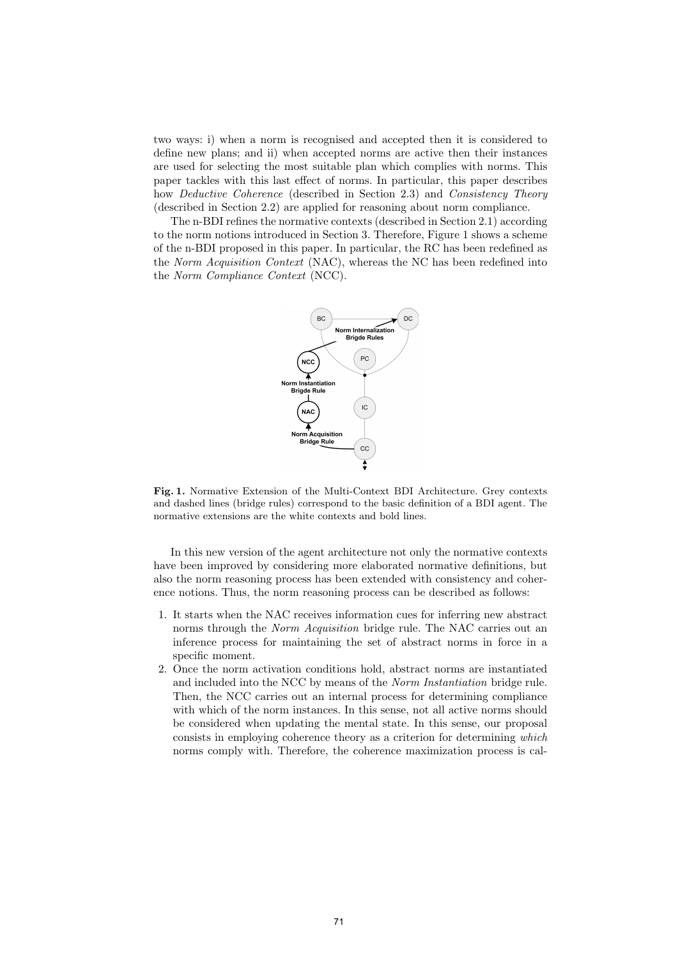two ways: i) when a norm is recognised and accepted then it is considered to define new plans; and ii) when accepted norms are active then their instances are used for selecting the most suitable plan which complies with norms. This paper tackles with this last effect of norms. In particular, this paper describes how *Deductive Coherence* (described in Section 2.3) and *Consistency Theory* (described in Section 2.2) are applied for reasoning about norm compliance.

The n-BDI refines the normative contexts (described in Section 2.1) according to the norm notions introduced in Section 3. Therefore, Figure 1 shows a scheme of the n-BDI proposed in this paper. In particular, the RC has been redefined as the Norm Acquisition Context (NAC), whereas the NC has been redefined into the Norm Compliance Context (NCC).



Fig. 1. Normative Extension of the Multi-Context BDI Architecture. Grey contexts and dashed lines (bridge rules) correspond to the basic definition of a BDI agent. The normative extensions are the white contexts and bold lines.

In this new version of the agent architecture not only the normative contexts have been improved by considering more elaborated normative definitions, but also the norm reasoning process has been extended with consistency and coherence notions. Thus, the norm reasoning process can be described as follows:

- 1. It starts when the NAC receives information cues for inferring new abstract norms through the *Norm Acquisition* bridge rule. The NAC carries out an inference process for maintaining the set of abstract norms in force in a specific moment.
- 2. Once the norm activation conditions hold, abstract norms are instantiated and included into the NCC by means of the Norm Instantiation bridge rule. Then, the NCC carries out an internal process for determining compliance with which of the norm instances. In this sense, not all active norms should be considered when updating the mental state. In this sense, our proposal consists in employing coherence theory as a criterion for determining which norms comply with. Therefore, the coherence maximization process is cal-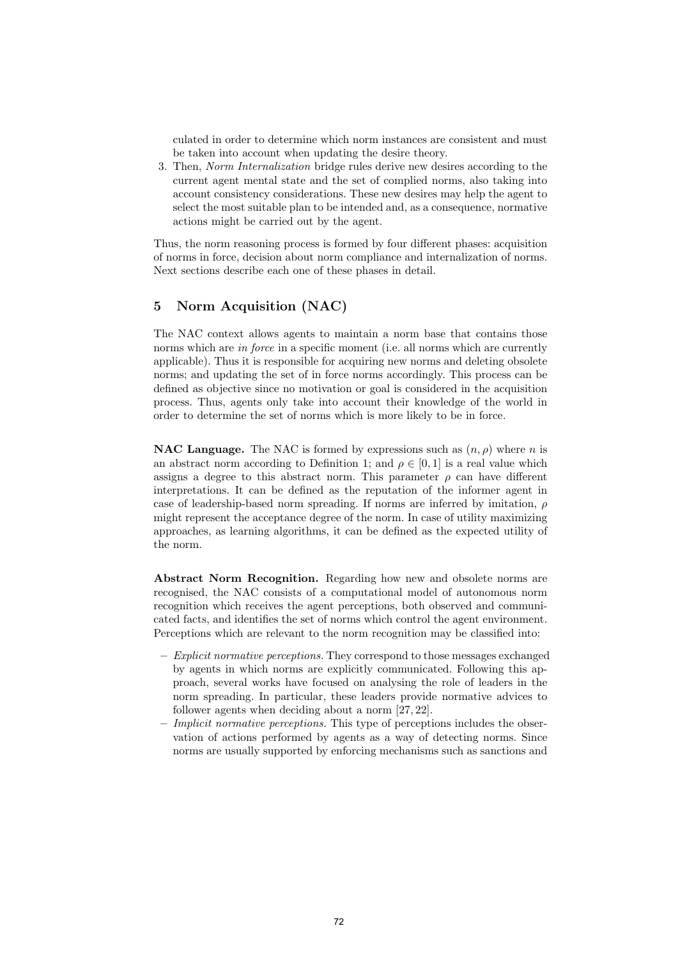culated in order to determine which norm instances are consistent and must be taken into account when updating the desire theory.

3. Then, Norm Internalization bridge rules derive new desires according to the current agent mental state and the set of complied norms, also taking into account consistency considerations. These new desires may help the agent to select the most suitable plan to be intended and, as a consequence, normative actions might be carried out by the agent.

Thus, the norm reasoning process is formed by four different phases: acquisition of norms in force, decision about norm compliance and internalization of norms. Next sections describe each one of these phases in detail.

# 5 Norm Acquisition (NAC)

The NAC context allows agents to maintain a norm base that contains those norms which are *in force* in a specific moment (i.e. all norms which are currently applicable). Thus it is responsible for acquiring new norms and deleting obsolete norms; and updating the set of in force norms accordingly. This process can be defined as objective since no motivation or goal is considered in the acquisition process. Thus, agents only take into account their knowledge of the world in order to determine the set of norms which is more likely to be in force.

**NAC Language.** The NAC is formed by expressions such as  $(n, \rho)$  where n is an abstract norm according to Definition 1; and  $\rho \in [0, 1]$  is a real value which assigns a degree to this abstract norm. This parameter  $\rho$  can have different interpretations. It can be defined as the reputation of the informer agent in case of leadership-based norm spreading. If norms are inferred by imitation,  $\rho$ might represent the acceptance degree of the norm. In case of utility maximizing approaches, as learning algorithms, it can be defined as the expected utility of the norm.

Abstract Norm Recognition. Regarding how new and obsolete norms are recognised, the NAC consists of a computational model of autonomous norm recognition which receives the agent perceptions, both observed and communicated facts, and identifies the set of norms which control the agent environment. Perceptions which are relevant to the norm recognition may be classified into:

- Explicit normative perceptions. They correspond to those messages exchanged by agents in which norms are explicitly communicated. Following this approach, several works have focused on analysing the role of leaders in the norm spreading. In particular, these leaders provide normative advices to follower agents when deciding about a norm [27, 22].
- Implicit normative perceptions. This type of perceptions includes the observation of actions performed by agents as a way of detecting norms. Since norms are usually supported by enforcing mechanisms such as sanctions and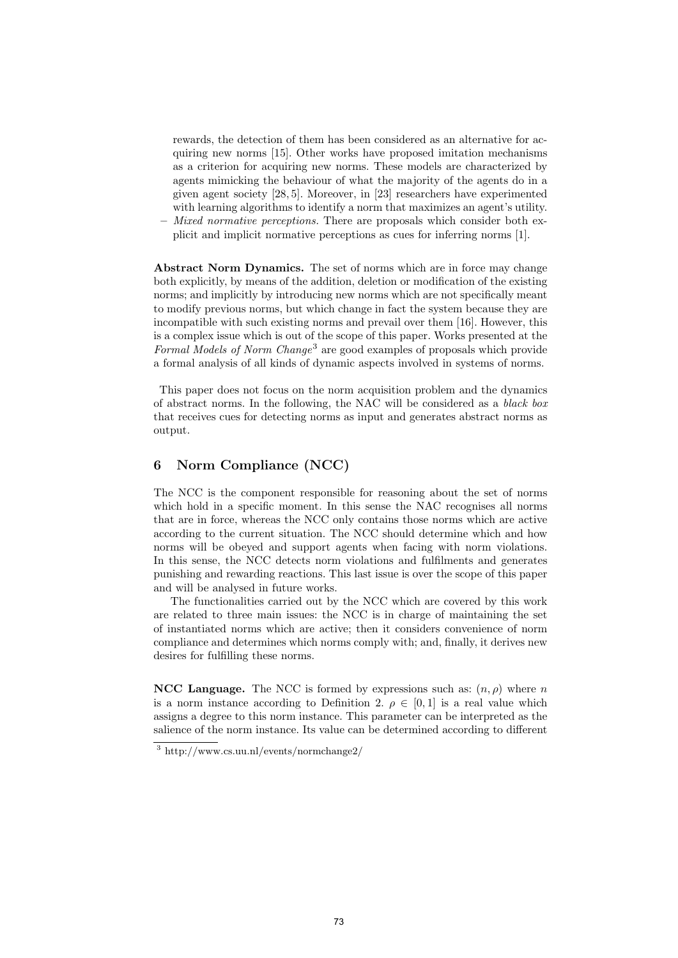rewards, the detection of them has been considered as an alternative for acquiring new norms [15]. Other works have proposed imitation mechanisms as a criterion for acquiring new norms. These models are characterized by agents mimicking the behaviour of what the majority of the agents do in a given agent society [28, 5]. Moreover, in [23] researchers have experimented with learning algorithms to identify a norm that maximizes an agent's utility.

– Mixed normative perceptions. There are proposals which consider both explicit and implicit normative perceptions as cues for inferring norms [1].

Abstract Norm Dynamics. The set of norms which are in force may change both explicitly, by means of the addition, deletion or modification of the existing norms; and implicitly by introducing new norms which are not specifically meant to modify previous norms, but which change in fact the system because they are incompatible with such existing norms and prevail over them [16]. However, this is a complex issue which is out of the scope of this paper. Works presented at the Formal Models of Norm Change<sup>3</sup> are good examples of proposals which provide a formal analysis of all kinds of dynamic aspects involved in systems of norms.

This paper does not focus on the norm acquisition problem and the dynamics of abstract norms. In the following, the NAC will be considered as a black box that receives cues for detecting norms as input and generates abstract norms as output.

# 6 Norm Compliance (NCC)

The NCC is the component responsible for reasoning about the set of norms which hold in a specific moment. In this sense the NAC recognises all norms that are in force, whereas the NCC only contains those norms which are active according to the current situation. The NCC should determine which and how norms will be obeyed and support agents when facing with norm violations. In this sense, the NCC detects norm violations and fulfilments and generates punishing and rewarding reactions. This last issue is over the scope of this paper and will be analysed in future works.

The functionalities carried out by the NCC which are covered by this work are related to three main issues: the NCC is in charge of maintaining the set of instantiated norms which are active; then it considers convenience of norm compliance and determines which norms comply with; and, finally, it derives new desires for fulfilling these norms.

**NCC Language.** The NCC is formed by expressions such as:  $(n, \rho)$  where n is a norm instance according to Definition 2.  $\rho \in [0,1]$  is a real value which assigns a degree to this norm instance. This parameter can be interpreted as the salience of the norm instance. Its value can be determined according to different

<sup>3</sup> http://www.cs.uu.nl/events/normchange2/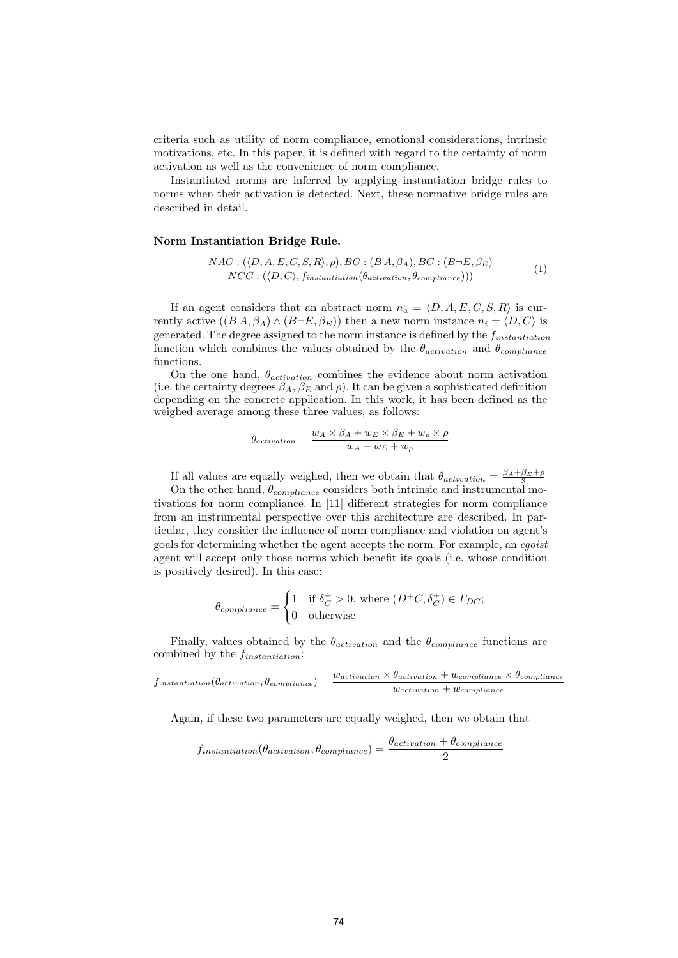criteria such as utility of norm compliance, emotional considerations, intrinsic motivations, etc. In this paper, it is defined with regard to the certainty of norm activation as well as the convenience of norm compliance.

Instantiated norms are inferred by applying instantiation bridge rules to norms when their activation is detected. Next, these normative bridge rules are described in detail.

#### Norm Instantiation Bridge Rule.

$$
\frac{NAC: (\langle D, A, E, C, S, R \rangle, \rho), BC: (B A, \beta_A), BC: (B-E, \beta_E)}{NCC: (\langle D, C \rangle, f_{instantiation}(\theta_{activation}, \theta_{compliance})))}
$$
(1)

If an agent considers that an abstract norm  $n_a = \langle D, A, E, C, S, R \rangle$  is currently active  $((BA, \beta_A) \wedge (B\neg E, \beta_E))$  then a new norm instance  $n_i = \langle D, C \rangle$  is generated. The degree assigned to the norm instance is defined by the  $f_{instantiation}$ function which combines the values obtained by the  $\theta_{activation}$  and  $\theta_{compliance}$ functions.

On the one hand,  $\theta_{activation}$  combines the evidence about norm activation (i.e. the certainty degrees  $\beta_A$ ,  $\beta_E$  and  $\rho$ ). It can be given a sophisticated definition depending on the concrete application. In this work, it has been defined as the weighed average among these three values, as follows:

$$
\theta_{activation} = \frac{w_A \times \beta_A + w_E \times \beta_E + w_\rho \times \rho}{w_A + w_E + w_\rho}
$$

If all values are equally weighed, then we obtain that  $\theta_{activation} = \frac{\beta_A + \beta_E + \rho}{3}$ 

On the other hand,  $\theta_{compliance}$  considers both intrinsic and instrumental motivations for norm compliance. In [11] different strategies for norm compliance from an instrumental perspective over this architecture are described. In particular, they consider the influence of norm compliance and violation on agent's goals for determining whether the agent accepts the norm. For example, an egoist agent will accept only those norms which benefit its goals (i.e. whose condition is positively desired). In this case:

$$
\theta_{compliance} = \begin{cases} 1 & \text{if } \delta_C^+ > 0, \text{ where } (D^+C, \delta_C^+) \in \Gamma_{DC}; \\ 0 & \text{otherwise} \end{cases}
$$

Finally, values obtained by the  $\theta_{activation}$  and the  $\theta_{compliance}$  functions are combined by the  $f_{instantiation}$ :

$$
f_{instantiation}(\theta_{activation}, \theta_{compliance}) = \frac{w_{activation} \times \theta_{activation} + w_{compliance} \times \theta_{compliance}}{w_{activation} + w_{compliance}}
$$

Again, if these two parameters are equally weighed, then we obtain that

$$
f_{instantiation}(\theta_{activation}, \theta_{compliance}) = \frac{\theta_{activation} + \theta_{compliance}}{2}
$$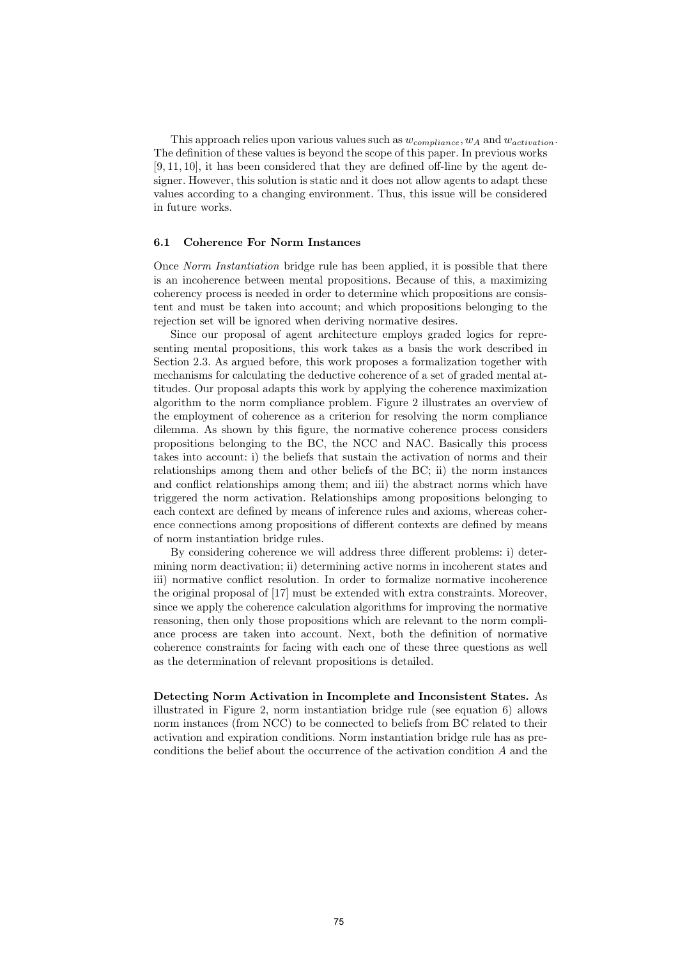This approach relies upon various values such as  $w_{compliance}$ ,  $w_A$  and  $w_{activation}$ . The definition of these values is beyond the scope of this paper. In previous works [9, 11, 10], it has been considered that they are defined off-line by the agent designer. However, this solution is static and it does not allow agents to adapt these values according to a changing environment. Thus, this issue will be considered in future works.

## 6.1 Coherence For Norm Instances

Once Norm Instantiation bridge rule has been applied, it is possible that there is an incoherence between mental propositions. Because of this, a maximizing coherency process is needed in order to determine which propositions are consistent and must be taken into account; and which propositions belonging to the rejection set will be ignored when deriving normative desires.

Since our proposal of agent architecture employs graded logics for representing mental propositions, this work takes as a basis the work described in Section 2.3. As argued before, this work proposes a formalization together with mechanisms for calculating the deductive coherence of a set of graded mental attitudes. Our proposal adapts this work by applying the coherence maximization algorithm to the norm compliance problem. Figure 2 illustrates an overview of the employment of coherence as a criterion for resolving the norm compliance dilemma. As shown by this figure, the normative coherence process considers propositions belonging to the BC, the NCC and NAC. Basically this process takes into account: i) the beliefs that sustain the activation of norms and their relationships among them and other beliefs of the BC; ii) the norm instances and conflict relationships among them; and iii) the abstract norms which have triggered the norm activation. Relationships among propositions belonging to each context are defined by means of inference rules and axioms, whereas coherence connections among propositions of different contexts are defined by means of norm instantiation bridge rules.

By considering coherence we will address three different problems: i) determining norm deactivation; ii) determining active norms in incoherent states and iii) normative conflict resolution. In order to formalize normative incoherence the original proposal of [17] must be extended with extra constraints. Moreover, since we apply the coherence calculation algorithms for improving the normative reasoning, then only those propositions which are relevant to the norm compliance process are taken into account. Next, both the definition of normative coherence constraints for facing with each one of these three questions as well as the determination of relevant propositions is detailed.

Detecting Norm Activation in Incomplete and Inconsistent States. As illustrated in Figure 2, norm instantiation bridge rule (see equation 6) allows norm instances (from NCC) to be connected to beliefs from BC related to their activation and expiration conditions. Norm instantiation bridge rule has as preconditions the belief about the occurrence of the activation condition A and the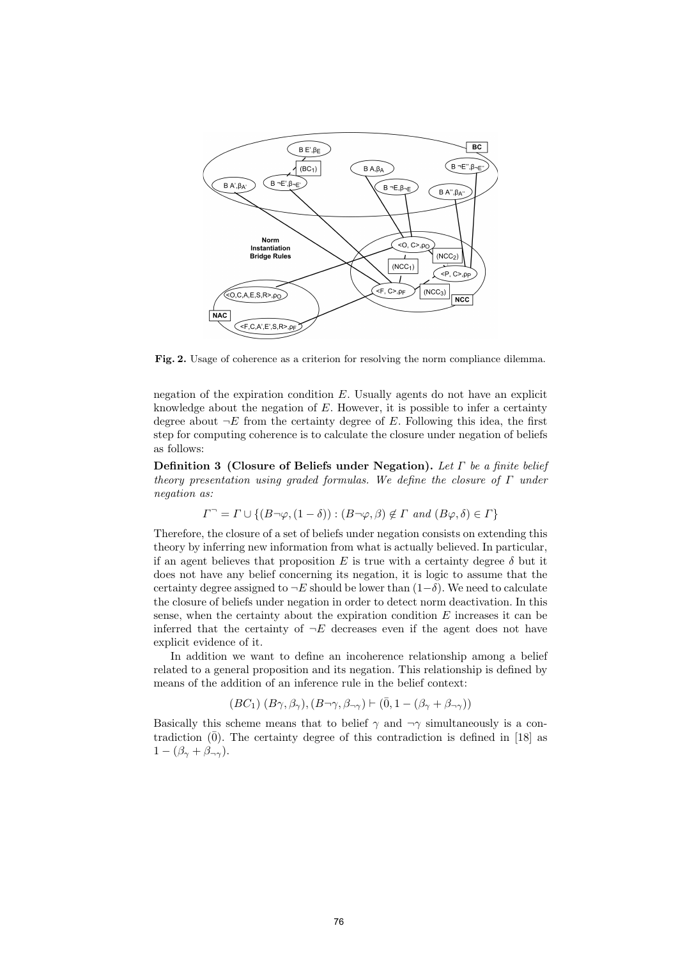

Fig. 2. Usage of coherence as a criterion for resolving the norm compliance dilemma.

negation of the expiration condition  $E$ . Usually agents do not have an explicit knowledge about the negation of  $E$ . However, it is possible to infer a certainty degree about  $\neg E$  from the certainty degree of E. Following this idea, the first step for computing coherence is to calculate the closure under negation of beliefs as follows:

Definition 3 (Closure of Beliefs under Negation). Let  $\Gamma$  be a finite belief theory presentation using graded formulas. We define the closure of  $\Gamma$  under negation as:

 $\Gamma^{\neg} = \Gamma \cup \{ (B \neg \varphi, (1 - \delta)) : (B \neg \varphi, \beta) \notin \Gamma \text{ and } (B \varphi, \delta) \in \Gamma \}$ 

Therefore, the closure of a set of beliefs under negation consists on extending this theory by inferring new information from what is actually believed. In particular, if an agent believes that proposition E is true with a certainty degree  $\delta$  but it does not have any belief concerning its negation, it is logic to assume that the certainty degree assigned to  $\neg E$  should be lower than  $(1-\delta)$ . We need to calculate the closure of beliefs under negation in order to detect norm deactivation. In this sense, when the certainty about the expiration condition  $E$  increases it can be inferred that the certainty of  $\neg E$  decreases even if the agent does not have explicit evidence of it.

In addition we want to define an incoherence relationship among a belief related to a general proposition and its negation. This relationship is defined by means of the addition of an inference rule in the belief context:

$$
(BC_1)~(B\gamma,\beta_\gamma),(B\neg\gamma,\beta_{\neg\gamma})\vdash (\bar 0,1-(\beta_\gamma+\beta_{\neg\gamma}))
$$

Basically this scheme means that to belief  $\gamma$  and  $\neg \gamma$  simultaneously is a contradiction  $(0)$ . The certainty degree of this contradiction is defined in [18] as  $1 - (\beta_{\gamma} + \beta_{\neg \gamma}).$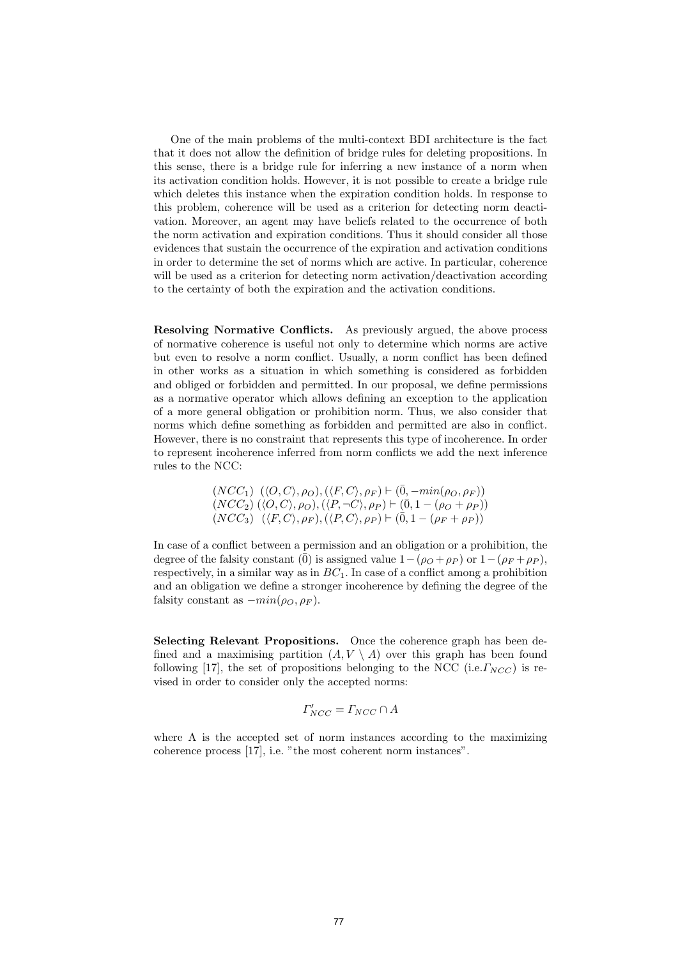One of the main problems of the multi-context BDI architecture is the fact that it does not allow the definition of bridge rules for deleting propositions. In this sense, there is a bridge rule for inferring a new instance of a norm when its activation condition holds. However, it is not possible to create a bridge rule which deletes this instance when the expiration condition holds. In response to this problem, coherence will be used as a criterion for detecting norm deactivation. Moreover, an agent may have beliefs related to the occurrence of both the norm activation and expiration conditions. Thus it should consider all those evidences that sustain the occurrence of the expiration and activation conditions in order to determine the set of norms which are active. In particular, coherence will be used as a criterion for detecting norm activation/deactivation according to the certainty of both the expiration and the activation conditions.

Resolving Normative Conflicts. As previously argued, the above process of normative coherence is useful not only to determine which norms are active but even to resolve a norm conflict. Usually, a norm conflict has been defined in other works as a situation in which something is considered as forbidden and obliged or forbidden and permitted. In our proposal, we define permissions as a normative operator which allows defining an exception to the application of a more general obligation or prohibition norm. Thus, we also consider that norms which define something as forbidden and permitted are also in conflict. However, there is no constraint that represents this type of incoherence. In order to represent incoherence inferred from norm conflicts we add the next inference rules to the NCC:

$$
(NCC1) \langle \langle O, C \rangle, \rho_O), (\langle F, C \rangle, \rho_F) \vdash (\bar{0}, -min(\rho_O, \rho_F)) (NCC2) (\langle O, C \rangle, \rho_O), (\langle P, \neg C \rangle, \rho_P) \vdash (\bar{0}, 1 - (\rho_O + \rho_P)) (NCC3) (\langle F, C \rangle, \rho_F), (\langle P, C \rangle, \rho_P) \vdash (\bar{0}, 1 - (\rho_F + \rho_P))
$$

In case of a conflict between a permission and an obligation or a prohibition, the degree of the falsity constant ( $\overline{0}$ ) is assigned value  $1-(\rho_O + \rho_P)$  or  $1-(\rho_F + \rho_P)$ , respectively, in a similar way as in  $BC<sub>1</sub>$ . In case of a conflict among a prohibition and an obligation we define a stronger incoherence by defining the degree of the falsity constant as  $-min(\rho_O, \rho_F)$ .

Selecting Relevant Propositions. Once the coherence graph has been defined and a maximising partition  $(A, V \setminus A)$  over this graph has been found following [17], the set of propositions belonging to the NCC (i.e.  $\Gamma_{NCC}$ ) is revised in order to consider only the accepted norms:

$$
\Gamma'_{NCC} = \Gamma_{NCC} \cap A
$$

where A is the accepted set of norm instances according to the maximizing coherence process [17], i.e. "the most coherent norm instances".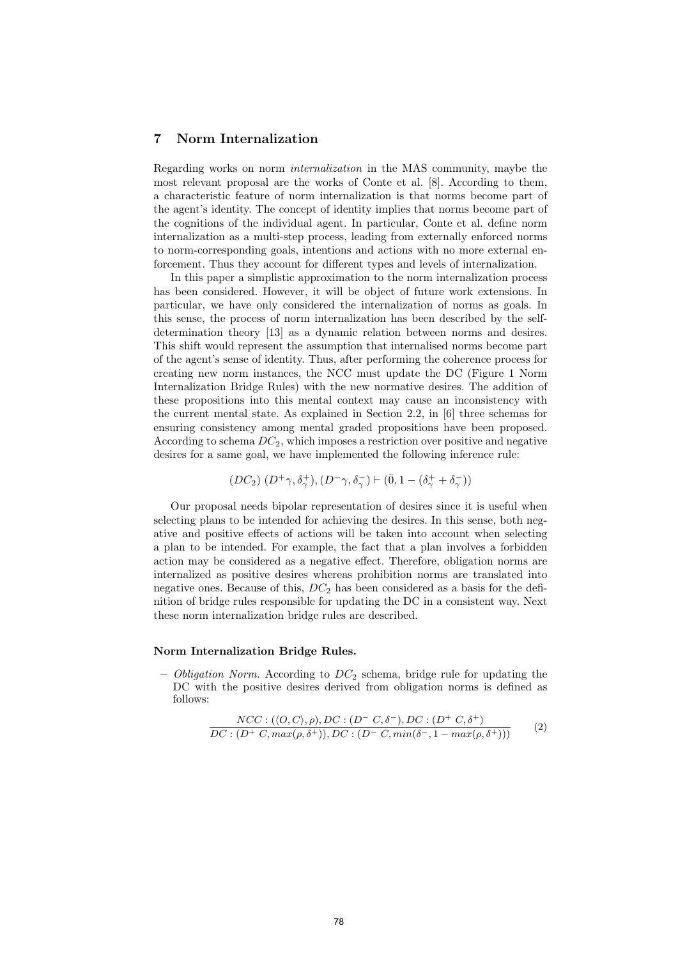### 7 Norm Internalization

Regarding works on norm internalization in the MAS community, maybe the most relevant proposal are the works of Conte et al. [8]. According to them, a characteristic feature of norm internalization is that norms become part of the agent's identity. The concept of identity implies that norms become part of the cognitions of the individual agent. In particular, Conte et al. define norm internalization as a multi-step process, leading from externally enforced norms to norm-corresponding goals, intentions and actions with no more external enforcement. Thus they account for different types and levels of internalization.

In this paper a simplistic approximation to the norm internalization process has been considered. However, it will be object of future work extensions. In particular, we have only considered the internalization of norms as goals. In this sense, the process of norm internalization has been described by the selfdetermination theory [13] as a dynamic relation between norms and desires. This shift would represent the assumption that internalised norms become part of the agent's sense of identity. Thus, after performing the coherence process for creating new norm instances, the NCC must update the DC (Figure 1 Norm Internalization Bridge Rules) with the new normative desires. The addition of these propositions into this mental context may cause an inconsistency with the current mental state. As explained in Section 2.2, in [6] three schemas for ensuring consistency among mental graded propositions have been proposed. According to schema  $DC_2$ , which imposes a restriction over positive and negative desires for a same goal, we have implemented the following inference rule:

$$
(DC_2)\ (D^+\gamma,\delta^+_\gamma),(D^-\gamma,\delta^-_\gamma)\vdash (\bar 0,1-(\delta^+_\gamma+\delta^-_\gamma))
$$

Our proposal needs bipolar representation of desires since it is useful when selecting plans to be intended for achieving the desires. In this sense, both negative and positive effects of actions will be taken into account when selecting a plan to be intended. For example, the fact that a plan involves a forbidden action may be considered as a negative effect. Therefore, obligation norms are internalized as positive desires whereas prohibition norms are translated into negative ones. Because of this,  $DC<sub>2</sub>$  has been considered as a basis for the definition of bridge rules responsible for updating the DC in a consistent way. Next these norm internalization bridge rules are described.

#### Norm Internalization Bridge Rules.

– Obligation Norm. According to  $DC_2$  schema, bridge rule for updating the DC with the positive desires derived from obligation norms is defined as follows:

$$
\frac{NCC: (\langle O, C \rangle, \rho), DC: (D^- C, \delta^-), DC: (D^+ C, \delta^+)}{DC: (D^+ C, max(\rho, \delta^+)), DC: (D^- C, min(\delta^-, 1 - max(\rho, \delta^+)))}
$$
(2)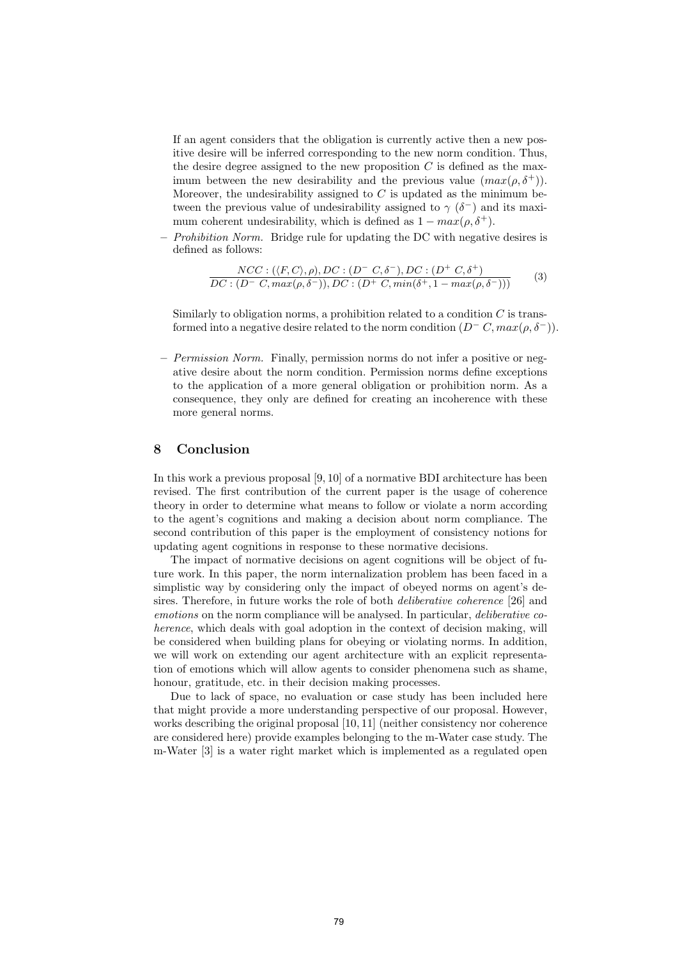If an agent considers that the obligation is currently active then a new positive desire will be inferred corresponding to the new norm condition. Thus, the desire degree assigned to the new proposition  $C$  is defined as the maximum between the new desirability and the previous value  $(max(\rho, \delta^+))$ . Moreover, the undesirability assigned to  $C$  is updated as the minimum between the previous value of undesirability assigned to  $\gamma$  ( $\delta^-$ ) and its maximum coherent undesirability, which is defined as  $1 - max(\rho, \delta^+)$ .

 $-$  Prohibition Norm. Bridge rule for updating the DC with negative desires is defined as follows:

$$
\frac{NCC: (\langle F, C \rangle, \rho), DC: (D^- C, \delta^-), DC: (D^+ C, \delta^+)}{DC: (D^- C, max(\rho, \delta^-)), DC: (D^+ C, min(\delta^+, 1 - max(\rho, \delta^-)))}
$$
(3)

Similarly to obligation norms, a prohibition related to a condition  $C$  is transformed into a negative desire related to the norm condition  $(D<sup>-</sup>C, max(\rho, \delta<sup>-</sup>)).$ 

 $-$  *Permission Norm.* Finally, permission norms do not infer a positive or negative desire about the norm condition. Permission norms define exceptions to the application of a more general obligation or prohibition norm. As a consequence, they only are defined for creating an incoherence with these more general norms.

## 8 Conclusion

In this work a previous proposal [9, 10] of a normative BDI architecture has been revised. The first contribution of the current paper is the usage of coherence theory in order to determine what means to follow or violate a norm according to the agent's cognitions and making a decision about norm compliance. The second contribution of this paper is the employment of consistency notions for updating agent cognitions in response to these normative decisions.

The impact of normative decisions on agent cognitions will be object of future work. In this paper, the norm internalization problem has been faced in a simplistic way by considering only the impact of obeyed norms on agent's desires. Therefore, in future works the role of both deliberative coherence [26] and emotions on the norm compliance will be analysed. In particular, deliberative coherence, which deals with goal adoption in the context of decision making, will be considered when building plans for obeying or violating norms. In addition, we will work on extending our agent architecture with an explicit representation of emotions which will allow agents to consider phenomena such as shame, honour, gratitude, etc. in their decision making processes.

Due to lack of space, no evaluation or case study has been included here that might provide a more understanding perspective of our proposal. However, works describing the original proposal [10, 11] (neither consistency nor coherence are considered here) provide examples belonging to the m-Water case study. The m-Water [3] is a water right market which is implemented as a regulated open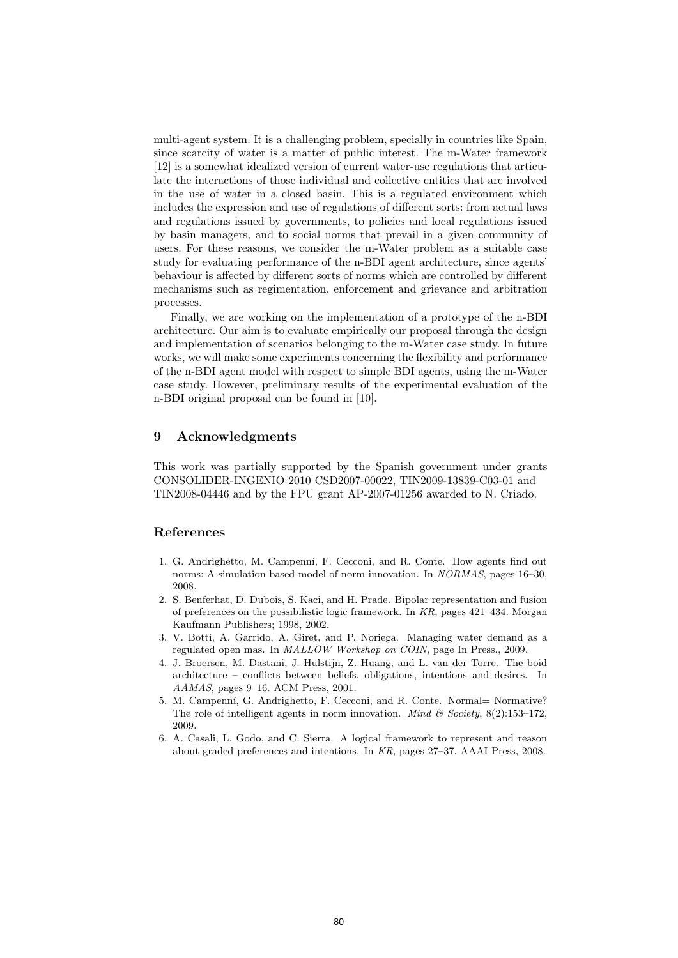multi-agent system. It is a challenging problem, specially in countries like Spain, since scarcity of water is a matter of public interest. The m-Water framework [12] is a somewhat idealized version of current water-use regulations that articulate the interactions of those individual and collective entities that are involved in the use of water in a closed basin. This is a regulated environment which includes the expression and use of regulations of different sorts: from actual laws and regulations issued by governments, to policies and local regulations issued by basin managers, and to social norms that prevail in a given community of users. For these reasons, we consider the m-Water problem as a suitable case study for evaluating performance of the n-BDI agent architecture, since agents' behaviour is affected by different sorts of norms which are controlled by different mechanisms such as regimentation, enforcement and grievance and arbitration processes.

Finally, we are working on the implementation of a prototype of the n-BDI architecture. Our aim is to evaluate empirically our proposal through the design and implementation of scenarios belonging to the m-Water case study. In future works, we will make some experiments concerning the flexibility and performance of the n-BDI agent model with respect to simple BDI agents, using the m-Water case study. However, preliminary results of the experimental evaluation of the n-BDI original proposal can be found in [10].

### 9 Acknowledgments

This work was partially supported by the Spanish government under grants CONSOLIDER-INGENIO 2010 CSD2007-00022, TIN2009-13839-C03-01 and TIN2008-04446 and by the FPU grant AP-2007-01256 awarded to N. Criado.

### References

- 1. G. Andrighetto, M. Campenní, F. Cecconi, and R. Conte. How agents find out norms: A simulation based model of norm innovation. In NORMAS, pages 16–30, 2008.
- 2. S. Benferhat, D. Dubois, S. Kaci, and H. Prade. Bipolar representation and fusion of preferences on the possibilistic logic framework. In KR, pages 421–434. Morgan Kaufmann Publishers; 1998, 2002.
- 3. V. Botti, A. Garrido, A. Giret, and P. Noriega. Managing water demand as a regulated open mas. In MALLOW Workshop on COIN, page In Press., 2009.
- 4. J. Broersen, M. Dastani, J. Hulstijn, Z. Huang, and L. van der Torre. The boid architecture – conflicts between beliefs, obligations, intentions and desires. In AAMAS, pages 9–16. ACM Press, 2001.
- 5. M. Campenní, G. Andrighetto, F. Cecconi, and R. Conte. Normal= Normative? The role of intelligent agents in norm innovation. *Mind & Society*,  $8(2):153-172$ , 2009.
- 6. A. Casali, L. Godo, and C. Sierra. A logical framework to represent and reason about graded preferences and intentions. In KR, pages 27–37. AAAI Press, 2008.